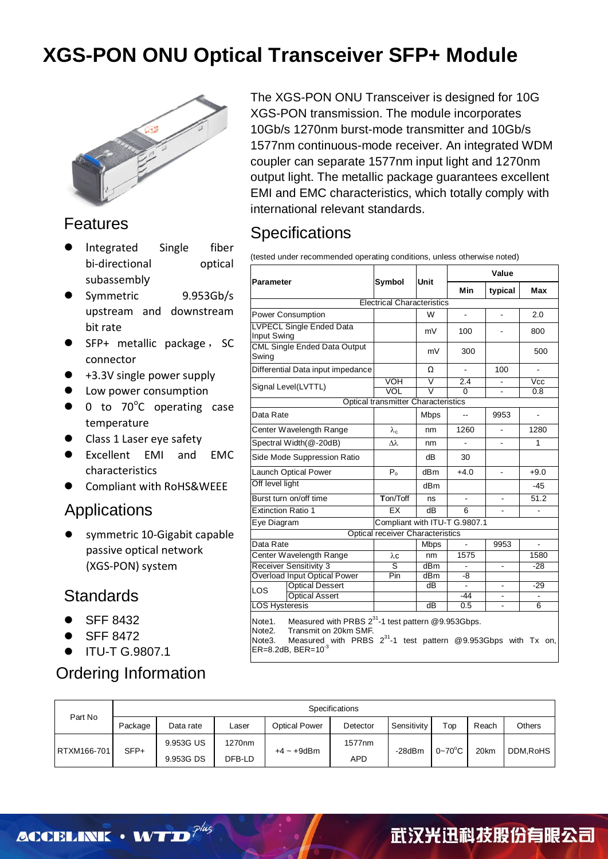

#### Features

- Integrated Single fiber bi-directional optical subassembly
- Symmetric 9.953Gb/s upstream and downstream bit rate
- $\bullet$  SFP+ metallic package, SC connector
- +3.3V single power supply
- Low power consumption
- $\bullet$  0 to 70 $^{\circ}$ C operating case temperature
- Class 1 Laser eye safety
- Excellent EMI and EMC characteristics
- Compliant with RoHS&WEEE

#### Applications

 symmetric 10-Gigabit capable passive optical network (XGS-PON) system

#### **Standards**

- SFF 8432
- SFF 8472
- ITU-T G.9807.1

### Ordering Information

The XGS-PON ONU Transceiver is designed for 10G XGS-PON transmission. The module incorporates 10Gb/s 1270nm burst-mode transmitter and 10Gb/s 1577nm continuous-mode receiver. An integrated WDM coupler can separate 1577nm input light and 1270nm output light. The metallic package guarantees excellent EMI and EMC characteristics, which totally comply with international relevant standards.

### **Specifications**

(tested under recommended operating conditions, unless otherwise noted)

|                                                                                                                                                                                                                                                             |                                            |                         | Value          |                |                         |  |  |
|-------------------------------------------------------------------------------------------------------------------------------------------------------------------------------------------------------------------------------------------------------------|--------------------------------------------|-------------------------|----------------|----------------|-------------------------|--|--|
| Parameter                                                                                                                                                                                                                                                   | Symbol                                     | Unit                    | <b>Min</b>     | typical        | <b>Max</b>              |  |  |
| <b>Electrical Characteristics</b>                                                                                                                                                                                                                           |                                            |                         |                |                |                         |  |  |
| Power Consumption                                                                                                                                                                                                                                           |                                            | W                       | $\blacksquare$ | $\blacksquare$ | 2.0                     |  |  |
| <b>LVPECL Single Ended Data</b><br>Input Swing                                                                                                                                                                                                              |                                            | mV                      | 100            |                | 800                     |  |  |
| CML Single Ended Data Output<br>Swing                                                                                                                                                                                                                       |                                            | mV                      | 300            |                | 500                     |  |  |
| Differential Data input impedance                                                                                                                                                                                                                           |                                            | Ω                       | $\blacksquare$ | 100            | $\overline{a}$          |  |  |
| Signal Level(LVTTL)                                                                                                                                                                                                                                         | VOH                                        | V                       | 2.4            |                | $\overline{\text{Vcc}}$ |  |  |
|                                                                                                                                                                                                                                                             | VOL                                        | $\overline{\mathsf{v}}$ | $\Omega$       |                | 0.8                     |  |  |
|                                                                                                                                                                                                                                                             | <b>Optical transmitter Characteristics</b> |                         |                |                |                         |  |  |
| Data Rate                                                                                                                                                                                                                                                   |                                            | <b>Mbps</b>             | $\overline{a}$ | 9953           | $\overline{a}$          |  |  |
| Center Wavelength Range                                                                                                                                                                                                                                     | $\lambda_c$                                | nm                      | 1260           | $\blacksquare$ | 1280                    |  |  |
| Spectral Width(@-20dB)                                                                                                                                                                                                                                      | $\lambda\lambda$                           | nm                      | $\mathbf{r}$   | $\overline{a}$ | 1                       |  |  |
| Side Mode Suppression Ratio                                                                                                                                                                                                                                 |                                            | dВ                      | 30             |                |                         |  |  |
| <b>Launch Optical Power</b>                                                                                                                                                                                                                                 | $P_{0}$                                    | dB <sub>m</sub>         | $+4.0$         | $\blacksquare$ | $+9.0$                  |  |  |
| Off level light                                                                                                                                                                                                                                             |                                            | dBm                     |                |                | -45                     |  |  |
| Burst turn on/off time                                                                                                                                                                                                                                      | Ton/Toff                                   | ns                      | $\blacksquare$ | $\blacksquare$ | 51.2                    |  |  |
| <b>Extinction Ratio 1</b>                                                                                                                                                                                                                                   | EX                                         | dB                      | 6              |                |                         |  |  |
| Eye Diagram                                                                                                                                                                                                                                                 | Compliant with ITU-T G.9807.1              |                         |                |                |                         |  |  |
|                                                                                                                                                                                                                                                             | <b>Optical receiver Characteristics</b>    |                         |                |                |                         |  |  |
| Data Rate                                                                                                                                                                                                                                                   |                                            | <b>Mbps</b>             | $\overline{a}$ | 9953           | ÷.                      |  |  |
| Center Wavelength Range                                                                                                                                                                                                                                     | $\lambda c$                                | nm                      | 1575           |                | 1580                    |  |  |
| <b>Receiver Sensitivity 3</b>                                                                                                                                                                                                                               | ड                                          | dBm                     |                |                | $-28$                   |  |  |
| <b>Overload Input Optical Power</b>                                                                                                                                                                                                                         | Pin                                        | dBm                     | -8             |                |                         |  |  |
| <b>Optical Dessert</b><br><b>LOS</b>                                                                                                                                                                                                                        |                                            | $\overline{dB}$         | $\blacksquare$ |                | $-29$                   |  |  |
| <b>Optical Assert</b>                                                                                                                                                                                                                                       |                                            |                         | $-44$          | $\blacksquare$ | $\blacksquare$          |  |  |
| <b>LOS Hysteresis</b>                                                                                                                                                                                                                                       |                                            | dB                      | 0.5            | ä,             | 6                       |  |  |
| Measured with PRBS 2 <sup>31</sup> -1 test pattern @9.953Gbps.<br>Note1.<br>Transmit on 20km SMF.<br>Note <sub>2</sub> .<br>Measured with PRBS 2 <sup>31</sup> -1 test pattern @9.953Gbps with Tx on,<br>Note <sub>3</sub> .<br>$ER = 8.2dB$ , $BER = 10-3$ |                                            |                         |                |                |                         |  |  |

| Part No     | Specifications                   |           |                    |                      |          |             |                      |          |               |
|-------------|----------------------------------|-----------|--------------------|----------------------|----------|-------------|----------------------|----------|---------------|
|             | Package                          | Data rate | Laser              | <b>Optical Power</b> | Detector | Sensitivity | $\tau_{\mathsf{op}}$ | Reach    | <b>Others</b> |
| RTXM166-701 | 9.953G US<br>$SFP+$<br>9.953G DS |           | 1270 <sub>nm</sub> |                      | 1577nm   | -28dBm      | $0 - 70$ °C          |          |               |
|             |                                  | DFB-LD    | $+4 \sim +9$ dBm   | <b>APD</b>           |          |             | 20km                 | DDM.RoHS |               |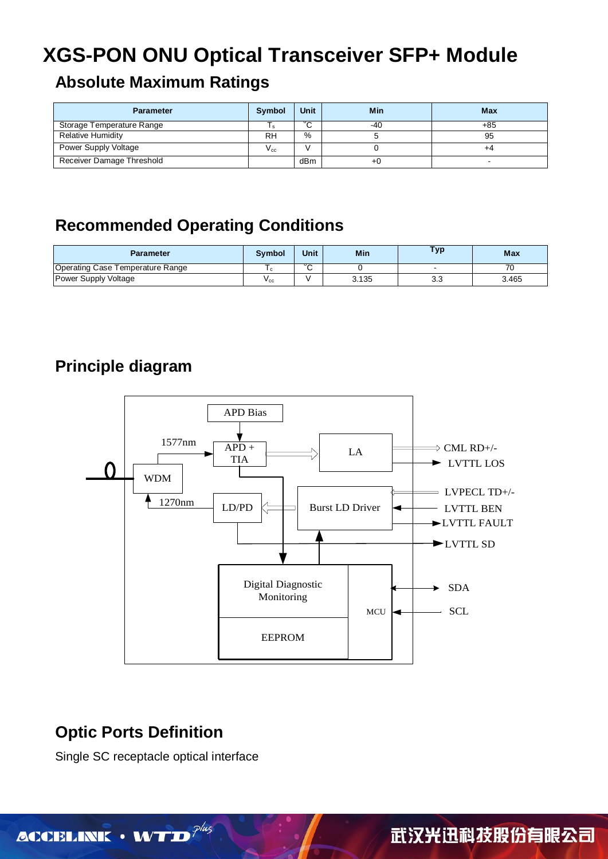#### **Absolute Maximum Ratings**

| <b>Parameter</b>          | <b>Symbol</b>   | Unit | Min | Max   |
|---------------------------|-----------------|------|-----|-------|
| Storage Temperature Range |                 | 。    | -40 | $+85$ |
| <b>Relative Humidity</b>  | RH              | %    |     | 95    |
| Power Supply Voltage      | $V_{\text{c}c}$ |      |     | +4    |
| Receiver Damage Threshold |                 | dBm  | -+6 |       |

### **Recommended Operating Conditions**

| Parameter                        | <b>Symbol</b> | Unit        | Min   | Тур      | <b>Max</b> |
|----------------------------------|---------------|-------------|-------|----------|------------|
| Operating Case Temperature Range |               | $\sim$<br>ີ |       |          |            |
| Power Supply Voltage             | $v_{\rm CC}$  |             | 3.135 | າ<br>ა.ა | 3.465      |

### **Principle diagram**



### **Optic Ports Definition**

Single SC receptacle optical interface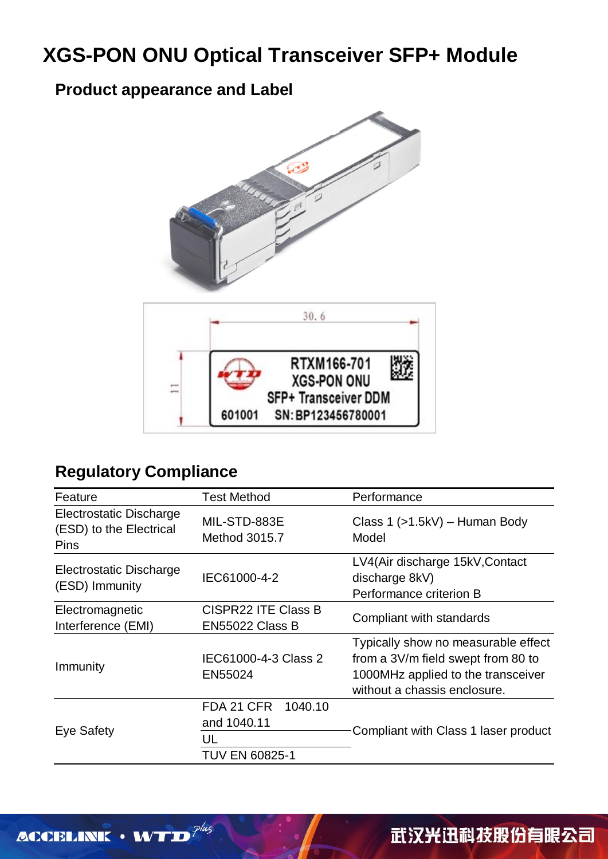### **Product appearance and Label**



### **Regulatory Compliance**

| Feature                                                           | <b>Test Method</b>                                           | Performance                                                                                                                                     |  |  |
|-------------------------------------------------------------------|--------------------------------------------------------------|-------------------------------------------------------------------------------------------------------------------------------------------------|--|--|
| Electrostatic Discharge<br>(ESD) to the Electrical<br><b>Pins</b> | MIL-STD-883E<br>Method 3015.7                                | Class $1$ ( $>1.5$ kV) – Human Body<br>Model                                                                                                    |  |  |
| <b>Electrostatic Discharge</b><br>(ESD) Immunity                  | IEC61000-4-2                                                 | LV4(Air discharge 15kV, Contact<br>discharge 8kV)<br>Performance criterion B                                                                    |  |  |
| Electromagnetic<br>Interference (EMI)                             | <b>CISPR22 ITE Class B</b><br>EN55022 Class B                | Compliant with standards                                                                                                                        |  |  |
| Immunity                                                          | IEC61000-4-3 Class 2<br>EN55024                              | Typically show no measurable effect<br>from a 3V/m field swept from 80 to<br>1000MHz applied to the transceiver<br>without a chassis enclosure. |  |  |
| <b>Eye Safety</b>                                                 | FDA 21 CFR<br>1040.10<br>and 1040.11<br>UL<br>TUV EN 60825-1 | Compliant with Class 1 laser product                                                                                                            |  |  |